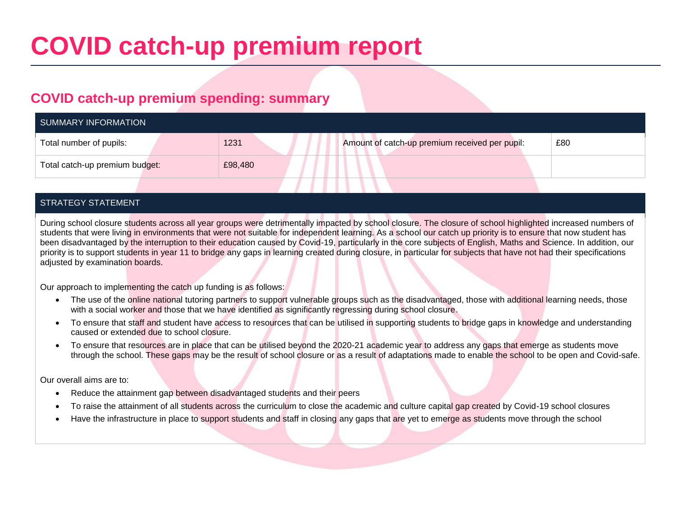# **COVID catch-up premium report**

### **COVID catch-up premium spending: summary**

| SUMMARY INFORMATION            |  |         |                                                |     |  |
|--------------------------------|--|---------|------------------------------------------------|-----|--|
| Total number of pupils:        |  | 1231    | Amount of catch-up premium received per pupil: | £80 |  |
| Total catch-up premium budget: |  | £98,480 |                                                |     |  |
|                                |  |         |                                                |     |  |

#### STRATEGY STATEMENT

During school closure students across all year groups were detrimentally impacted by school closure. The closure of school highlighted increased numbers of students that were living in environments that were not suitable for independent learning. As a school our catch up priority is to ensure that now student has been disadvantaged by the interruption to their education caused by Covid-19, particularly in the core subjects of English, Maths and Science. In addition, our priority is to support students in year 11 to bridge any gaps in learning created during closure, in particular for subjects that have not had their specifications adjusted by examination boards.

Our approach to implementing the catch up funding is as follows:

- The use of the online national tutoring partners to support vulnerable groups such as the disadvantaged, those with additional learning needs, those with a social worker and those that we have identified as significantly regressing during school closure.
- To ensure that staff and student have access to resources that can be utilised in supporting students to bridge gaps in knowledge and understanding caused or extended due to school closure.
- To ensure that resources are in place that can be utilised beyond the 2020-21 academic year to address any gaps that emerge as students move through the school. These gaps may be the result of school closure or as a result of adaptations made to enable the school to be open and Covid-safe.

Our overall aims are to:

- Reduce the attainment gap between disadvantaged students and their peers
- To raise the attainment of all students across the curriculum to close the academic and culture capital gap created by Covid-19 school closures
- Have the infrastructure in place to support students and staff in closing any gaps that are yet to emerge as students move through the school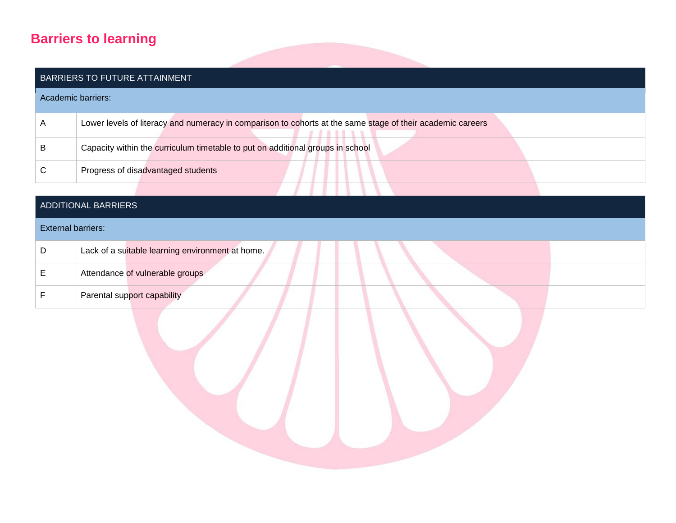## **Barriers to learning**

|                           | BARRIERS TO FUTURE ATTAINMENT                                                                              |
|---------------------------|------------------------------------------------------------------------------------------------------------|
|                           | Academic barriers:                                                                                         |
| A                         | Lower levels of literacy and numeracy in comparison to cohorts at the same stage of their academic careers |
| B                         | Capacity within the curriculum timetable to put on additional groups in school                             |
| ${\bf C}$                 | Progress of disadvantaged students                                                                         |
|                           |                                                                                                            |
|                           | ADDITIONAL BARRIERS                                                                                        |
| <b>External barriers:</b> |                                                                                                            |
| D                         | Lack of a suitable learning environment at home.                                                           |
| E                         | Attendance of vulnerable groups                                                                            |
| $\mathsf F$               | Parental support capability                                                                                |
|                           |                                                                                                            |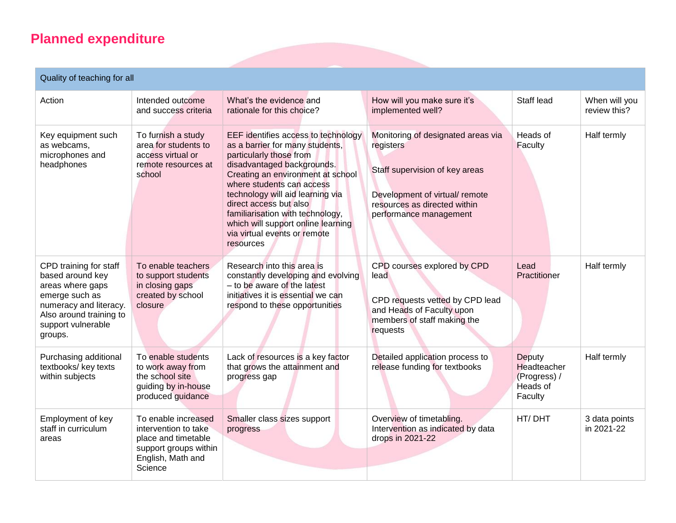## **Planned expenditure**

#### Quality of teaching for all

| Action                                                                                                                                                                 | Intended outcome<br>and success criteria                                                                                    | What's the evidence and<br>rationale for this choice?                                                                                                                                                                                                                                                                                                                                  | How will you make sure it's<br>implemented well?                                                                                                                              | Staff lead                                                          | When will you<br>review this? |
|------------------------------------------------------------------------------------------------------------------------------------------------------------------------|-----------------------------------------------------------------------------------------------------------------------------|----------------------------------------------------------------------------------------------------------------------------------------------------------------------------------------------------------------------------------------------------------------------------------------------------------------------------------------------------------------------------------------|-------------------------------------------------------------------------------------------------------------------------------------------------------------------------------|---------------------------------------------------------------------|-------------------------------|
| Key equipment such<br>as webcams,<br>microphones and<br>headphones                                                                                                     | To furnish a study<br>area for students to<br>access virtual or<br>remote resources at<br>school                            | EEF identifies access to technology<br>as a barrier for many students,<br>particularly those from<br>disadvantaged backgrounds.<br>Creating an environment at school<br>where students can access<br>technology will aid learning via<br>direct access but also<br>familiarisation with technology,<br>which will support online learning<br>via virtual events or remote<br>resources | Monitoring of designated areas via<br>registers<br>Staff supervision of key areas<br>Development of virtual/ remote<br>resources as directed within<br>performance management | Heads of<br>Faculty                                                 | Half termly                   |
| CPD training for staff<br>based around key<br>areas where gaps<br>emerge such as<br>numeracy and literacy.<br>Also around training to<br>support vulnerable<br>groups. | To enable teachers<br>to support students<br>in closing gaps<br>created by school<br>closure                                | Research into this area is<br>constantly developing and evolving<br>- to be aware of the latest<br>initiatives it is essential we can<br>respond to these opportunities                                                                                                                                                                                                                | CPD courses explored by CPD<br>lead<br>CPD requests vetted by CPD lead<br>and Heads of Faculty upon<br>members of staff making the<br>requests                                | Lead<br>Practitioner                                                | Half termly                   |
| Purchasing additional<br>textbooks/ key texts<br>within subjects                                                                                                       | To enable students<br>to work away from<br>the school site<br>guiding by in-house<br>produced guidance                      | Lack of resources is a key factor<br>that grows the attainment and<br>progress gap                                                                                                                                                                                                                                                                                                     | Detailed application process to<br>release funding for textbooks                                                                                                              | Deputy<br><b>Headteacher</b><br>(Progress) /<br>Heads of<br>Faculty | Half termly                   |
| Employment of key<br>staff in curriculum<br>areas                                                                                                                      | To enable increased<br>intervention to take<br>place and timetable<br>support groups within<br>English, Math and<br>Science | Smaller class sizes support<br>progress                                                                                                                                                                                                                                                                                                                                                | Overview of timetabling.<br>Intervention as indicated by data<br>drops in 2021-22                                                                                             | HT/DHT                                                              | 3 data points<br>in 2021-22   |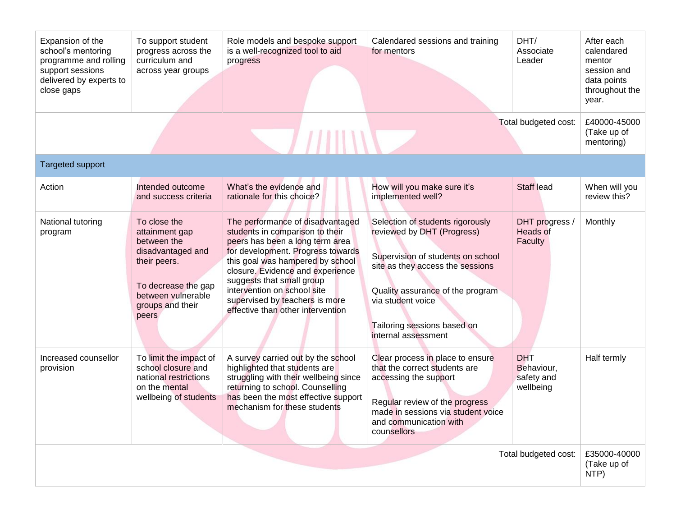| Expansion of the<br>school's mentoring<br>programme and rolling<br>support sessions<br>delivered by experts to<br>close gaps | To support student<br>progress across the<br>curriculum and<br>across year groups                                                                            | Role models and bespoke support<br>is a well-recognized tool to aid<br>progress                                                                                                                                                                                                                                                                        | Calendared sessions and training<br>for mentors                                                                                                                                                                                                        | DHT/<br>Associate<br>Leader                         | After each<br>calendared<br>mentor<br>session and<br>data points<br>throughout the<br>year. |
|------------------------------------------------------------------------------------------------------------------------------|--------------------------------------------------------------------------------------------------------------------------------------------------------------|--------------------------------------------------------------------------------------------------------------------------------------------------------------------------------------------------------------------------------------------------------------------------------------------------------------------------------------------------------|--------------------------------------------------------------------------------------------------------------------------------------------------------------------------------------------------------------------------------------------------------|-----------------------------------------------------|---------------------------------------------------------------------------------------------|
|                                                                                                                              |                                                                                                                                                              | $\mu$ mw                                                                                                                                                                                                                                                                                                                                               |                                                                                                                                                                                                                                                        | Total budgeted cost:                                | £40000-45000<br>(Take up of<br>mentoring)                                                   |
| <b>Targeted support</b>                                                                                                      |                                                                                                                                                              |                                                                                                                                                                                                                                                                                                                                                        |                                                                                                                                                                                                                                                        |                                                     |                                                                                             |
| Action                                                                                                                       | Intended outcome<br>and success criteria                                                                                                                     | What's the evidence and<br>rationale for this choice?                                                                                                                                                                                                                                                                                                  | How will you make sure it's<br>implemented well?                                                                                                                                                                                                       | Staff lead                                          | When will you<br>review this?                                                               |
| National tutoring<br>program                                                                                                 | To close the<br>attainment gap<br>between the<br>disadvantaged and<br>their peers.<br>To decrease the gap<br>between vulnerable<br>groups and their<br>peers | The performance of disadvantaged<br>students in comparison to their<br>peers has been a long term area<br>for development. Progress towards<br>this goal was hampered by school<br>closure. Evidence and experience<br>suggests that small group<br>intervention on school site<br>supervised by teachers is more<br>effective than other intervention | Selection of students rigorously<br>reviewed by DHT (Progress)<br>Supervision of students on school<br>site as they access the sessions<br>Quality assurance of the program<br>via student voice<br>Tailoring sessions based on<br>internal assessment | DHT progress<br>Heads of<br>Faculty                 | Monthly                                                                                     |
| Increased counsellor<br>provision                                                                                            | To limit the impact of<br>school closure and<br>national restrictions<br>on the mental<br>wellbeing of students                                              | A survey carried out by the school<br>highlighted that students are<br>struggling with their wellbeing since<br>returning to school. Counselling<br>has been the most effective support<br>mechanism for these students                                                                                                                                | Clear process in place to ensure<br>that the correct students are<br>accessing the support<br>Regular review of the progress<br>made in sessions via student voice<br>and communication with<br>counsellors                                            | <b>DHT</b><br>Behaviour,<br>safety and<br>wellbeing | Half termly                                                                                 |
| Total budgeted cost:                                                                                                         |                                                                                                                                                              |                                                                                                                                                                                                                                                                                                                                                        |                                                                                                                                                                                                                                                        |                                                     | £35000-40000<br>(Take up of<br>NTP)                                                         |